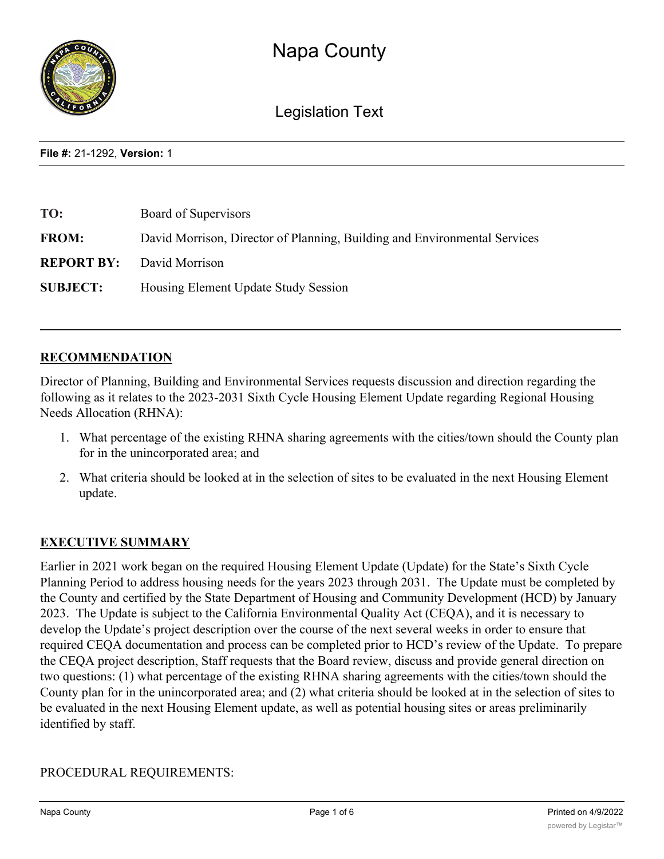

Legislation Text

**File #:** 21-1292, **Version:** 1

| TO:             | Board of Supervisors                                                      |
|-----------------|---------------------------------------------------------------------------|
| <b>FROM:</b>    | David Morrison, Director of Planning, Building and Environmental Services |
|                 | <b>REPORT BY:</b> David Morrison                                          |
| <b>SUBJECT:</b> | Housing Element Update Study Session                                      |

# **RECOMMENDATION**

Director of Planning, Building and Environmental Services requests discussion and direction regarding the following as it relates to the 2023-2031 Sixth Cycle Housing Element Update regarding Regional Housing Needs Allocation (RHNA):

- 1. What percentage of the existing RHNA sharing agreements with the cities/town should the County plan for in the unincorporated area; and
- 2. What criteria should be looked at in the selection of sites to be evaluated in the next Housing Element update.

# **EXECUTIVE SUMMARY**

Earlier in 2021 work began on the required Housing Element Update (Update) for the State's Sixth Cycle Planning Period to address housing needs for the years 2023 through 2031. The Update must be completed by the County and certified by the State Department of Housing and Community Development (HCD) by January 2023. The Update is subject to the California Environmental Quality Act (CEQA), and it is necessary to develop the Update's project description over the course of the next several weeks in order to ensure that required CEQA documentation and process can be completed prior to HCD's review of the Update. To prepare the CEQA project description, Staff requests that the Board review, discuss and provide general direction on two questions: (1) what percentage of the existing RHNA sharing agreements with the cities/town should the County plan for in the unincorporated area; and (2) what criteria should be looked at in the selection of sites to be evaluated in the next Housing Element update, as well as potential housing sites or areas preliminarily identified by staff.

# PROCEDURAL REQUIREMENTS: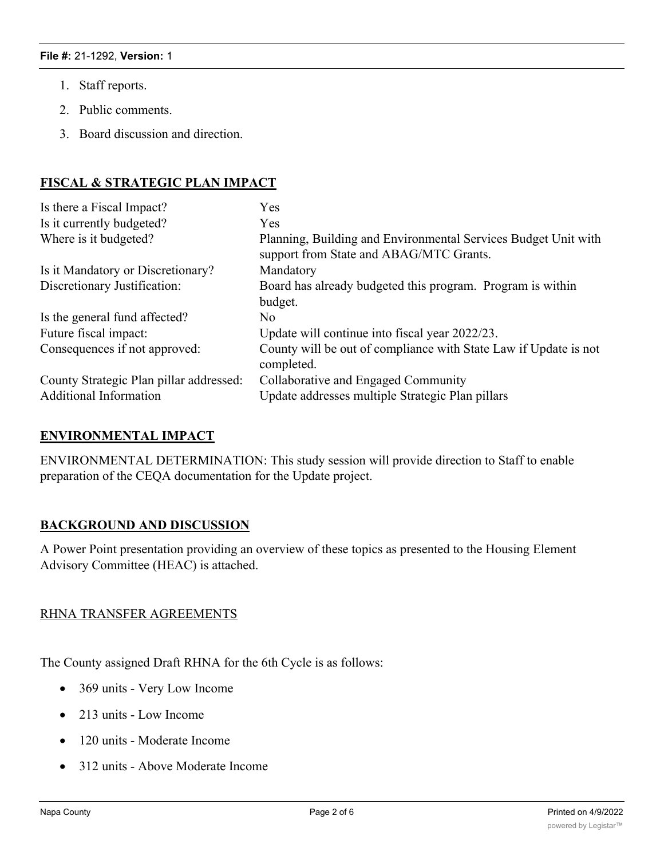- 1. Staff reports.
- 2. Public comments.
- 3. Board discussion and direction.

# **FISCAL & STRATEGIC PLAN IMPACT**

| Is there a Fiscal Impact?               | Yes                                                                                                       |
|-----------------------------------------|-----------------------------------------------------------------------------------------------------------|
| Is it currently budgeted?               | Yes                                                                                                       |
| Where is it budgeted?                   | Planning, Building and Environmental Services Budget Unit with<br>support from State and ABAG/MTC Grants. |
| Is it Mandatory or Discretionary?       | Mandatory                                                                                                 |
| Discretionary Justification:            | Board has already budgeted this program. Program is within                                                |
|                                         | budget.                                                                                                   |
| Is the general fund affected?           | No.                                                                                                       |
| Future fiscal impact:                   | Update will continue into fiscal year 2022/23.                                                            |
| Consequences if not approved:           | County will be out of compliance with State Law if Update is not<br>completed.                            |
| County Strategic Plan pillar addressed: | Collaborative and Engaged Community                                                                       |
| <b>Additional Information</b>           | Update addresses multiple Strategic Plan pillars                                                          |

# **ENVIRONMENTAL IMPACT**

ENVIRONMENTAL DETERMINATION: This study session will provide direction to Staff to enable preparation of the CEQA documentation for the Update project.

# **BACKGROUND AND DISCUSSION**

A Power Point presentation providing an overview of these topics as presented to the Housing Element Advisory Committee (HEAC) is attached.

### RHNA TRANSFER AGREEMENTS

The County assigned Draft RHNA for the 6th Cycle is as follows:

- 369 units Very Low Income
- 213 units Low Income
- · 120 units Moderate Income
- · 312 units Above Moderate Income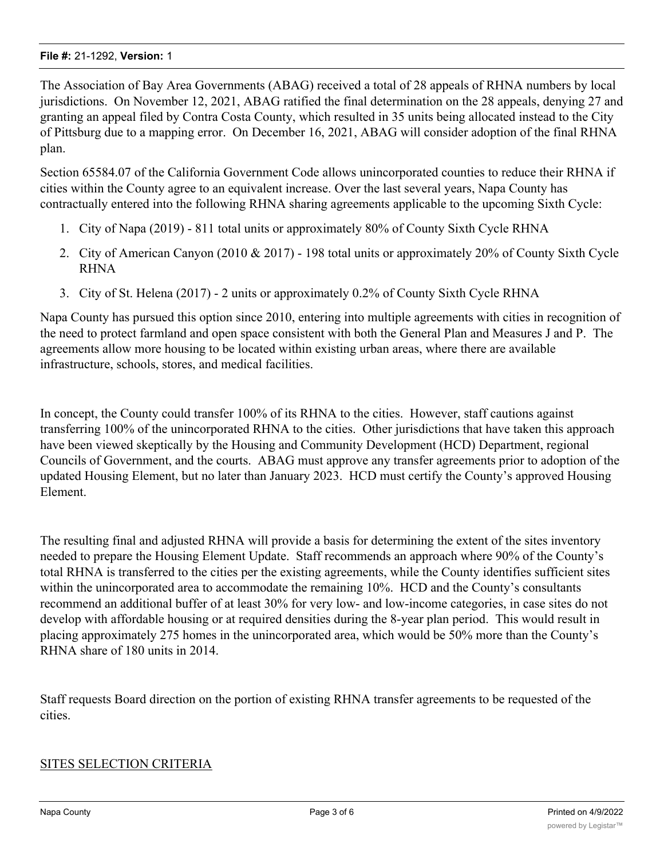The Association of Bay Area Governments (ABAG) received a total of 28 appeals of RHNA numbers by local jurisdictions. On November 12, 2021, ABAG ratified the final determination on the 28 appeals, denying 27 and granting an appeal filed by Contra Costa County, which resulted in 35 units being allocated instead to the City of Pittsburg due to a mapping error. On December 16, 2021, ABAG will consider adoption of the final RHNA plan.

Section 65584.07 of the California Government Code allows unincorporated counties to reduce their RHNA if cities within the County agree to an equivalent increase. Over the last several years, Napa County has contractually entered into the following RHNA sharing agreements applicable to the upcoming Sixth Cycle:

- 1. City of Napa (2019) 811 total units or approximately 80% of County Sixth Cycle RHNA
- 2. City of American Canyon (2010 & 2017) 198 total units or approximately 20% of County Sixth Cycle RHNA
- 3. City of St. Helena (2017) 2 units or approximately 0.2% of County Sixth Cycle RHNA

Napa County has pursued this option since 2010, entering into multiple agreements with cities in recognition of the need to protect farmland and open space consistent with both the General Plan and Measures J and P. The agreements allow more housing to be located within existing urban areas, where there are available infrastructure, schools, stores, and medical facilities.

In concept, the County could transfer 100% of its RHNA to the cities. However, staff cautions against transferring 100% of the unincorporated RHNA to the cities. Other jurisdictions that have taken this approach have been viewed skeptically by the Housing and Community Development (HCD) Department, regional Councils of Government, and the courts. ABAG must approve any transfer agreements prior to adoption of the updated Housing Element, but no later than January 2023. HCD must certify the County's approved Housing Element.

The resulting final and adjusted RHNA will provide a basis for determining the extent of the sites inventory needed to prepare the Housing Element Update. Staff recommends an approach where 90% of the County's total RHNA is transferred to the cities per the existing agreements, while the County identifies sufficient sites within the unincorporated area to accommodate the remaining 10%. HCD and the County's consultants recommend an additional buffer of at least 30% for very low- and low-income categories, in case sites do not develop with affordable housing or at required densities during the 8-year plan period. This would result in placing approximately 275 homes in the unincorporated area, which would be 50% more than the County's RHNA share of 180 units in 2014.

Staff requests Board direction on the portion of existing RHNA transfer agreements to be requested of the cities.

# SITES SELECTION CRITERIA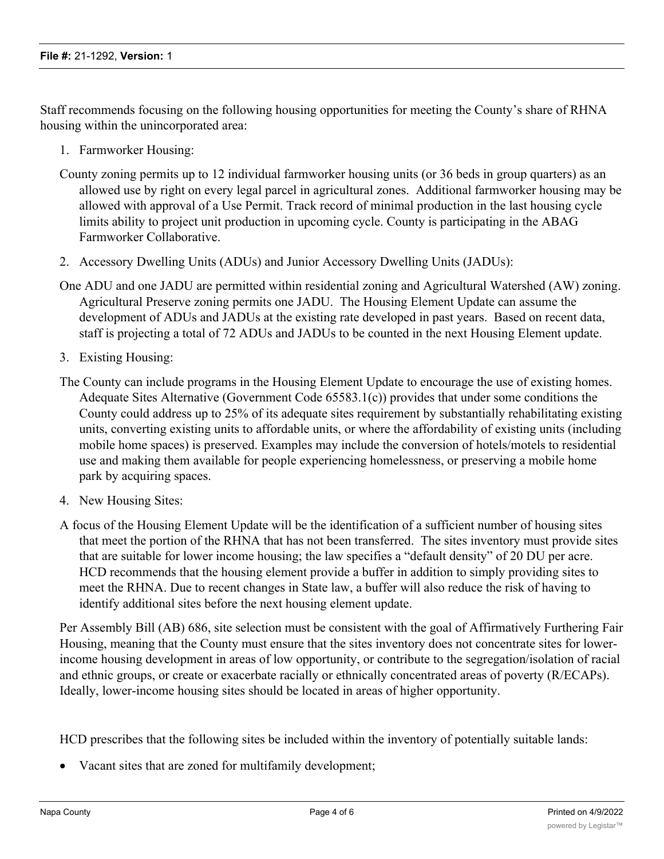Staff recommends focusing on the following housing opportunities for meeting the County's share of RHNA housing within the unincorporated area:

- 1. Farmworker Housing:
- County zoning permits up to 12 individual farmworker housing units (or 36 beds in group quarters) as an allowed use by right on every legal parcel in agricultural zones. Additional farmworker housing may be allowed with approval of a Use Permit. Track record of minimal production in the last housing cycle limits ability to project unit production in upcoming cycle. County is participating in the ABAG Farmworker Collaborative.
- 2. Accessory Dwelling Units (ADUs) and Junior Accessory Dwelling Units (JADUs):
- One ADU and one JADU are permitted within residential zoning and Agricultural Watershed (AW) zoning. Agricultural Preserve zoning permits one JADU. The Housing Element Update can assume the development of ADUs and JADUs at the existing rate developed in past years. Based on recent data, staff is projecting a total of 72 ADUs and JADUs to be counted in the next Housing Element update.
- 3. Existing Housing:
- The County can include programs in the Housing Element Update to encourage the use of existing homes. Adequate Sites Alternative (Government Code 65583.1(c)) provides that under some conditions the County could address up to 25% of its adequate sites requirement by substantially rehabilitating existing units, converting existing units to affordable units, or where the affordability of existing units (including mobile home spaces) is preserved. Examples may include the conversion of hotels/motels to residential use and making them available for people experiencing homelessness, or preserving a mobile home park by acquiring spaces.
- 4. New Housing Sites:
- A focus of the Housing Element Update will be the identification of a sufficient number of housing sites that meet the portion of the RHNA that has not been transferred. The sites inventory must provide sites that are suitable for lower income housing; the law specifies a "default density" of 20 DU per acre. HCD recommends that the housing element provide a buffer in addition to simply providing sites to meet the RHNA. Due to recent changes in State law, a buffer will also reduce the risk of having to identify additional sites before the next housing element update.

Per Assembly Bill (AB) 686, site selection must be consistent with the goal of Affirmatively Furthering Fair Housing, meaning that the County must ensure that the sites inventory does not concentrate sites for lowerincome housing development in areas of low opportunity, or contribute to the segregation/isolation of racial and ethnic groups, or create or exacerbate racially or ethnically concentrated areas of poverty (R/ECAPs). Ideally, lower-income housing sites should be located in areas of higher opportunity.

HCD prescribes that the following sites be included within the inventory of potentially suitable lands:

· Vacant sites that are zoned for multifamily development;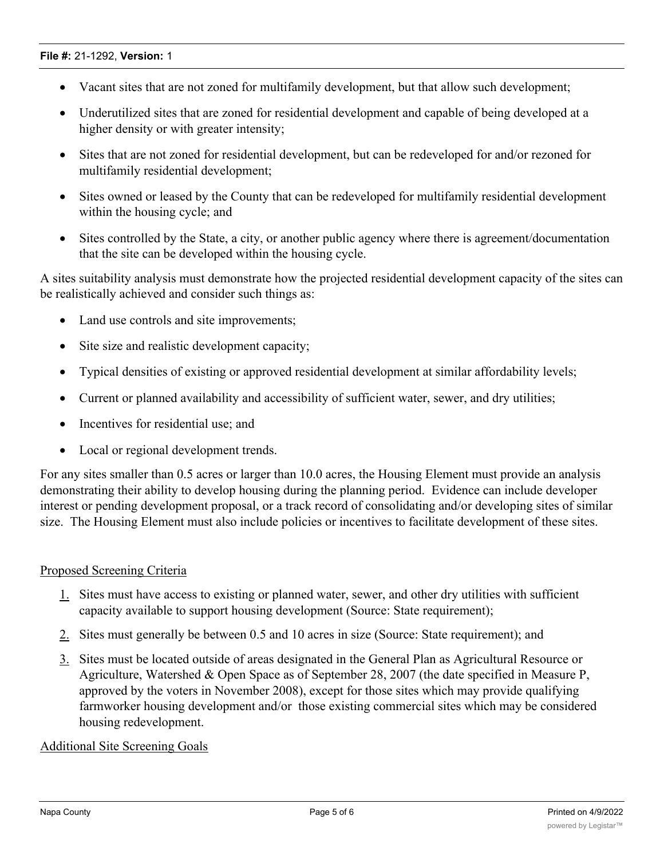- · Vacant sites that are not zoned for multifamily development, but that allow such development;
- · Underutilized sites that are zoned for residential development and capable of being developed at a higher density or with greater intensity;
- · Sites that are not zoned for residential development, but can be redeveloped for and/or rezoned for multifamily residential development;
- · Sites owned or leased by the County that can be redeveloped for multifamily residential development within the housing cycle; and
- Sites controlled by the State, a city, or another public agency where there is agreement/documentation that the site can be developed within the housing cycle.

A sites suitability analysis must demonstrate how the projected residential development capacity of the sites can be realistically achieved and consider such things as:

- · Land use controls and site improvements;
- Site size and realistic development capacity;
- · Typical densities of existing or approved residential development at similar affordability levels;
- · Current or planned availability and accessibility of sufficient water, sewer, and dry utilities;
- · Incentives for residential use; and
- Local or regional development trends.

For any sites smaller than 0.5 acres or larger than 10.0 acres, the Housing Element must provide an analysis demonstrating their ability to develop housing during the planning period. Evidence can include developer interest or pending development proposal, or a track record of consolidating and/or developing sites of similar size. The Housing Element must also include policies or incentives to facilitate development of these sites.

# Proposed Screening Criteria

- 1. Sites must have access to existing or planned water, sewer, and other dry utilities with sufficient capacity available to support housing development (Source: State requirement);
- 2. Sites must generally be between 0.5 and 10 acres in size (Source: State requirement); and
- 3. Sites must be located outside of areas designated in the General Plan as Agricultural Resource or Agriculture, Watershed & Open Space as of September 28, 2007 (the date specified in Measure P, approved by the voters in November 2008), except for those sites which may provide qualifying farmworker housing development and/or those existing commercial sites which may be considered housing redevelopment.

### Additional Site Screening Goals